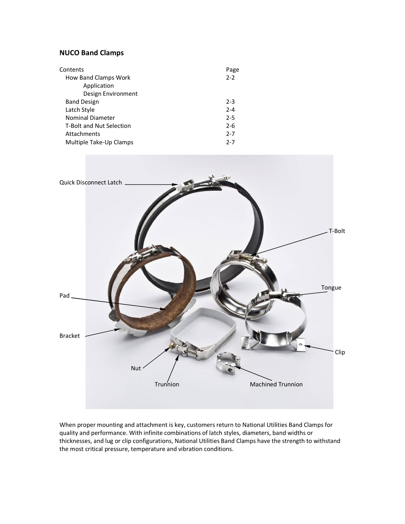# **NUCO Band Clamps**

| Contents                 | Page    |
|--------------------------|---------|
| How Band Clamps Work     | $2 - 2$ |
| Application              |         |
| Design Environment       |         |
| <b>Band Design</b>       | $2 - 3$ |
| Latch Style              | $2 - 4$ |
| <b>Nominal Diameter</b>  | $2 - 5$ |
| T-Bolt and Nut Selection | $2 - 6$ |
| Attachments              | $2 - 7$ |
| Multiple Take-Up Clamps  | $2 - 7$ |



When proper mounting and attachment is key, customers return to National Utilities Band Clamps for quality and performance. With infinite combinations of latch styles, diameters, band widths or thicknesses, and lug or clip configurations, National Utilities Band Clamps have the strength to withstand the most critical pressure, temperature and vibration conditions.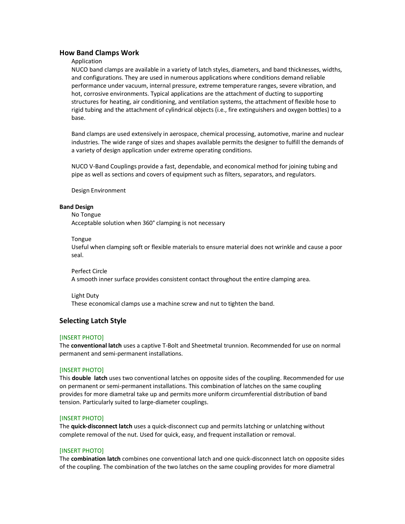## **How Band Clamps Work**

### Application

NUCO band clamps are available in a variety of latch styles, diameters, and band thicknesses, widths, and configurations. They are used in numerous applications where conditions demand reliable performance under vacuum, internal pressure, extreme temperature ranges, severe vibration, and hot, corrosive environments. Typical applications are the attachment of ducting to supporting structures for heating, air conditioning, and ventilation systems, the attachment of flexible hose to rigid tubing and the attachment of cylindrical objects (i.e., fire extinguishers and oxygen bottles) to a base.

Band clamps are used extensively in aerospace, chemical processing, automotive, marine and nuclear industries. The wide range of sizes and shapes available permits the designer to fulfill the demands of a variety of design application under extreme operating conditions.

NUCO V-Band Couplings provide a fast, dependable, and economical method for joining tubing and pipe as well as sections and covers of equipment such as filters, separators, and regulators.

Design Environment

#### **Band Design**

No Tongue

Acceptable solution when 360° clamping is not necessary

### **Tongue**

Useful when clamping soft or flexible materials to ensure material does not wrinkle and cause a poor seal.

#### Perfect Circle

A smooth inner surface provides consistent contact throughout the entire clamping area.

#### Light Duty

These economical clamps use a machine screw and nut to tighten the band.

## **Selecting Latch Style**

### [INSERT PHOTO]

The **conventional latch** uses a captive T-Bolt and Sheetmetal trunnion. Recommended for use on normal permanent and semi-permanent installations.

### [INSERT PHOTO]

This **double latch** uses two conventional latches on opposite sides of the coupling. Recommended for use on permanent or semi-permanent installations. This combination of latches on the same coupling provides for more diametral take up and permits more uniform circumferential distribution of band tension. Particularly suited to large-diameter couplings.

### [INSERT PHOTO]

The **quick-disconnect latch** uses a quick-disconnect cup and permits latching or unlatching without complete removal of the nut. Used for quick, easy, and frequent installation or removal.

### [INSERT PHOTO]

The **combination latch** combines one conventional latch and one quick-disconnect latch on opposite sides of the coupling. The combination of the two latches on the same coupling provides for more diametral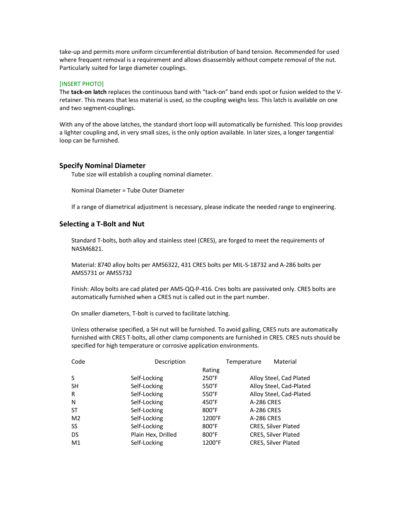take-up and permits more uniform circumferential distribution of band tension. Recommended for used where frequent removal is a requirement and allows disassembly without compete removal of the nut. Particularly suited for large diameter couplings.

# [INSERT PHOTO]

The **tack-on latch** replaces the continuous band with "tack-on" band ends spot or fusion welded to the Vretainer. This means that less material is used, so the coupling weighs less. This latch is available on one and two segment-couplings.

With any of the above latches, the standard short loop will automatically be furnished. This loop provides a lighter coupling and, in very small sizes, is the only option available. In later sizes, a longer tangential loop can be furnished.

## **Specify Nominal Diameter**

Tube size will establish a coupling nominal diameter.

Nominal Diameter = Tube Outer Diameter

If a range of diametrical adjustment is necessary, please indicate the needed range to engineering.

# **Selecting a T-Bolt and Nut**

Standard T-bolts, both alloy and stainless steel (CRES), are forged to meet the requirements of NASM6821.

Material: 8740 alloy bolts per AMS6322, 431 CRES bolts per MIL-S-18732 and A-286 bolts per AMS5731 or AMS5732

Finish: Alloy bolts are cad plated per AMS-QQ-P-416. Cres bolts are passivated only. CRES bolts are automatically furnished when a CRES nut is called out in the part number.

On smaller diameters, T-bolt is curved to facilitate latching.

Unless otherwise specified, a SH nut will be furnished. To avoid galling, CRES nuts are automatically furnished with CRES T-bolts, all other clamp components are furnished in CRES. CRES nuts should be specified for high temperature or corrosive application environments.

| Code           | Description        |                 | Temperature | Material                   |
|----------------|--------------------|-----------------|-------------|----------------------------|
|                |                    | Rating          |             |                            |
| S              | Self-Locking       | $250^{\circ}$ F |             | Alloy Steel, Cad Plated    |
| <b>SH</b>      | Self-Locking       | $550^{\circ}$ F |             | Alloy Steel, Cad-Plated    |
| R              | Self-Locking       | $550^{\circ}$ F |             | Alloy Steel, Cad-Plated    |
| N              | Self-Locking       | $450^{\circ}$ F | A-286 CRES  |                            |
| <b>ST</b>      | Self-Locking       | $800^{\circ}$ F | A-286 CRES  |                            |
| M <sub>2</sub> | Self-Locking       | 1200°F          | A-286 CRES  |                            |
| <b>SS</b>      | Self-Locking       | $800^{\circ}$ F |             | <b>CRES, Silver Plated</b> |
| <b>DS</b>      | Plain Hex, Drilled | $800^{\circ}$ F |             | CRES, Silver Plated        |
| M1             | Self-Locking       | 1200°F          |             | CRES, Silver Plated        |